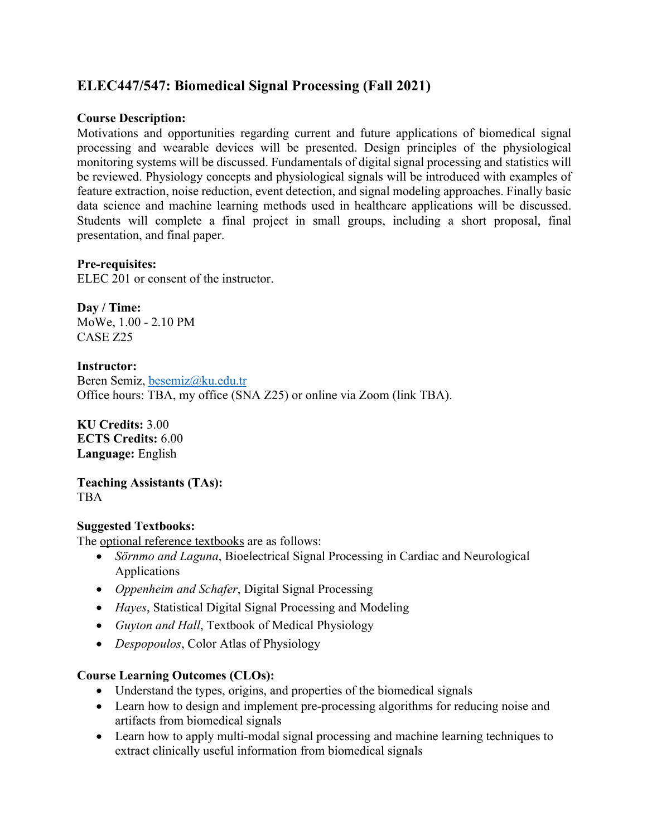# **ELEC447/547: Biomedical Signal Processing (Fall 2021)**

## **Course Description:**

Motivations and opportunities regarding current and future applications of biomedical signal processing and wearable devices will be presented. Design principles of the physiological monitoring systems will be discussed. Fundamentals of digital signal processing and statistics will be reviewed. Physiology concepts and physiological signals will be introduced with examples of feature extraction, noise reduction, event detection, and signal modeling approaches. Finally basic data science and machine learning methods used in healthcare applications will be discussed. Students will complete a final project in small groups, including a short proposal, final presentation, and final paper.

### **Pre-requisites:**

ELEC 201 or consent of the instructor.

**Day / Time:** MoWe, 1.00 - 2.10 PM CASE Z25

**Instructor:** Beren Semiz, besemiz@ku.edu.tr Office hours: TBA, my office (SNA Z25) or online via Zoom (link TBA).

**KU Credits:** 3.00 **ECTS Credits:** 6.00 **Language:** English

**Teaching Assistants (TAs):** TBA

### **Suggested Textbooks:**

The optional reference textbooks are as follows:

- *Sörnmo and Laguna*, Bioelectrical Signal Processing in Cardiac and Neurological Applications
- *Oppenheim and Schafer*, Digital Signal Processing
- *Hayes*, Statistical Digital Signal Processing and Modeling
- *Guyton and Hall*, Textbook of Medical Physiology
- *Despopoulos*, Color Atlas of Physiology

### **Course Learning Outcomes (CLOs):**

- Understand the types, origins, and properties of the biomedical signals
- Learn how to design and implement pre-processing algorithms for reducing noise and artifacts from biomedical signals
- Learn how to apply multi-modal signal processing and machine learning techniques to extract clinically useful information from biomedical signals